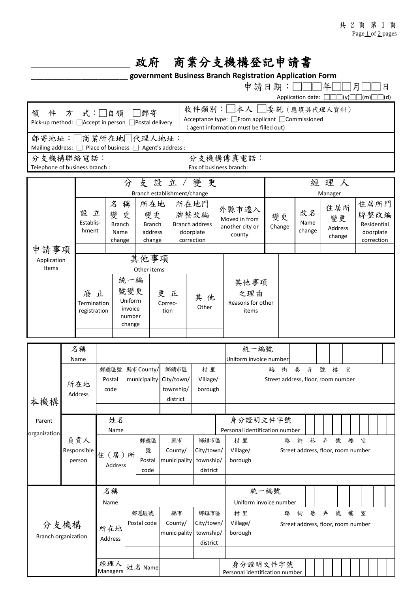## \_\_\_\_\_\_\_\_\_\_\_\_\_\_\_\_\_\_\_\_ 政府 商業分支機構登記申請書

\_\_\_\_\_\_\_\_\_\_\_\_\_\_\_\_\_\_\_\_\_\_\_ **government Business Branch Registration Application Form**

|                                                                              |                                  |                                        |                                          |             |                                                                                                        |                |              |         |                                      |                                 |                                    | 申請日期:□□                         |                                    | Application date: $\Box$           |        | 年             |  | $\square$ (y) $\square$ | 月           | $\Box$ (m) |                         | 日<br>$\vert d \vert$ |
|------------------------------------------------------------------------------|----------------------------------|----------------------------------------|------------------------------------------|-------------|--------------------------------------------------------------------------------------------------------|----------------|--------------|---------|--------------------------------------|---------------------------------|------------------------------------|---------------------------------|------------------------------------|------------------------------------|--------|---------------|--|-------------------------|-------------|------------|-------------------------|----------------------|
| 式:□自領 □郵寄<br>件方<br>領<br>Pick-up method: □ Accept in person □ Postal delivery |                                  |                                        |                                          |             | 收件類別: 本人 考<br>Acceptance type: □From applicant □Commissioned<br>(agent information must be filled out) |                |              |         |                                      |                                 |                                    |                                 |                                    |                                    |        |               |  |                         |             |            |                         |                      |
| 郵寄地址:□商業所在地□代理人地址:                                                           |                                  |                                        |                                          |             |                                                                                                        |                |              |         |                                      |                                 |                                    |                                 |                                    |                                    |        |               |  |                         |             |            |                         |                      |
| Mailing address: <b>D</b> Place of business <b>D</b> Agent's address :       |                                  |                                        |                                          |             |                                                                                                        |                |              |         |                                      |                                 |                                    |                                 |                                    |                                    |        |               |  |                         |             |            |                         |                      |
| 分支機構聯絡電話:<br>Telephone of business branch :                                  |                                  |                                        |                                          |             |                                                                                                        |                |              |         | 分支機構傳真電話:<br>Fax of business branch: |                                 |                                    |                                 |                                    |                                    |        |               |  |                         |             |            |                         |                      |
|                                                                              |                                  |                                        |                                          |             |                                                                                                        |                |              |         |                                      |                                 |                                    |                                 |                                    |                                    |        |               |  |                         |             |            |                         |                      |
|                                                                              |                                  | 分支設立/變更<br>Branch establishment/change |                                          |             |                                                                                                        |                |              |         |                                      |                                 | 經理人<br>Manager                     |                                 |                                    |                                    |        |               |  |                         |             |            |                         |                      |
|                                                                              |                                  |                                        |                                          | 名           | 稱                                                                                                      | 所在地            |              |         | 所在地門                                 |                                 |                                    |                                 |                                    |                                    |        |               |  |                         | 住居所門        |            |                         |                      |
|                                                                              | 設立                               |                                        | 變                                        |             | 更<br>變更                                                                                                |                |              | 牌整改編    |                                      |                                 | 外縣市遷入                              |                                 |                                    |                                    | 改名     | 住居所           |  |                         | 牌整改編        |            |                         |                      |
|                                                                              |                                  | Establis-                              | <b>Branch</b>                            |             |                                                                                                        | <b>Branch</b>  |              |         | <b>Branch address</b>                |                                 | Moved in from<br>another city or   |                                 | 變更<br>Change                       |                                    | Name   | 變更<br>Address |  |                         | Residential |            |                         |                      |
|                                                                              |                                  | hment                                  | Name                                     |             |                                                                                                        | address        |              |         | doorplate<br>correction              |                                 | county                             |                                 |                                    |                                    | change | change        |  |                         |             |            | doorplate<br>correction |                      |
| 申請事項                                                                         |                                  |                                        |                                          | change      |                                                                                                        | change         |              |         |                                      |                                 |                                    |                                 |                                    |                                    |        |               |  |                         |             |            |                         |                      |
| Application                                                                  |                                  |                                        |                                          |             |                                                                                                        | 其他事項           |              |         |                                      |                                 |                                    |                                 |                                    |                                    |        |               |  |                         |             |            |                         |                      |
| Items                                                                        |                                  |                                        |                                          | Other items |                                                                                                        |                |              |         |                                      |                                 |                                    |                                 |                                    |                                    |        |               |  |                         |             |            |                         |                      |
|                                                                              | 廢<br>Termination<br>registration |                                        | 統一編                                      |             |                                                                                                        |                |              |         |                                      |                                 | 其他事項                               |                                 |                                    |                                    |        |               |  |                         |             |            |                         |                      |
|                                                                              |                                  |                                        | 號變更<br>止<br>Uniform<br>invoice<br>number |             |                                                                                                        |                | 更正           |         | 其 他                                  |                                 |                                    | 之理由                             |                                    |                                    |        |               |  |                         |             |            |                         |                      |
|                                                                              |                                  |                                        |                                          |             |                                                                                                        |                | Correc-      |         | Other                                |                                 |                                    | Reasons for other               |                                    |                                    |        |               |  |                         |             |            |                         |                      |
|                                                                              |                                  |                                        |                                          |             |                                                                                                        | tion           |              |         |                                      |                                 | items                              |                                 |                                    |                                    |        |               |  |                         |             |            |                         |                      |
|                                                                              |                                  |                                        |                                          |             | change                                                                                                 |                |              |         |                                      |                                 |                                    |                                 |                                    |                                    |        |               |  |                         |             |            |                         |                      |
|                                                                              |                                  |                                        |                                          |             |                                                                                                        |                |              |         |                                      |                                 |                                    |                                 |                                    |                                    |        |               |  |                         |             |            |                         |                      |
|                                                                              | 名稱<br>Name                       |                                        |                                          |             |                                                                                                        |                |              |         |                                      |                                 | 統一編號<br>Uniform invoice number     |                                 |                                    |                                    |        |               |  |                         |             |            |                         |                      |
|                                                                              | 所在地<br>Address                   |                                        | 郵遞區號<br>Postal<br>code                   |             | 縣市 County/                                                                                             |                | 鄉鎮市區<br>村里   |         |                                      | 弄<br>巷<br>號<br>樓<br>室<br>路<br>街 |                                    |                                 |                                    |                                    |        |               |  |                         |             |            |                         |                      |
|                                                                              |                                  |                                        |                                          |             | municipality                                                                                           |                | City/town/   |         | Village/                             |                                 | Street address, floor, room number |                                 |                                    |                                    |        |               |  |                         |             |            |                         |                      |
|                                                                              |                                  |                                        |                                          |             |                                                                                                        |                | township/    |         | borough                              |                                 |                                    |                                 |                                    |                                    |        |               |  |                         |             |            |                         |                      |
| 本機構                                                                          |                                  |                                        |                                          |             |                                                                                                        |                | district     |         |                                      |                                 |                                    |                                 |                                    |                                    |        |               |  |                         |             |            |                         |                      |
| Parent                                                                       |                                  |                                        | 姓名                                       |             |                                                                                                        |                |              |         |                                      |                                 | 身分證明文件字號                           |                                 |                                    |                                    |        |               |  |                         |             |            |                         |                      |
| organization                                                                 | 負責人                              |                                        | Name                                     |             |                                                                                                        |                |              |         |                                      |                                 | Personal identification number     |                                 |                                    |                                    |        |               |  |                         |             |            |                         |                      |
|                                                                              |                                  |                                        |                                          |             |                                                                                                        | 郵遞區            | 縣市           |         | 鄉鎮市區                                 |                                 | 村 里                                | 弄<br>巷<br>號<br>樓<br>路<br>街<br>室 |                                    |                                    |        |               |  |                         |             |            |                         |                      |
|                                                                              |                                  | Responsible                            |                                          | 住(居)所       |                                                                                                        | 號              | County/      |         | City/town/                           |                                 | Village/                           |                                 |                                    | Street address, floor, room number |        |               |  |                         |             |            |                         |                      |
|                                                                              |                                  | person                                 |                                          | Address     |                                                                                                        | Postal<br>code | municipality |         | township/<br>district                |                                 | borough                            |                                 |                                    |                                    |        |               |  |                         |             |            |                         |                      |
|                                                                              |                                  |                                        |                                          |             |                                                                                                        |                |              |         |                                      |                                 |                                    |                                 |                                    |                                    |        |               |  |                         |             |            |                         |                      |
| 分支機構                                                                         |                                  |                                        | 名稱                                       |             |                                                                                                        |                |              |         |                                      |                                 | 統一編號                               |                                 |                                    |                                    |        |               |  |                         |             |            |                         |                      |
|                                                                              |                                  |                                        | Name                                     |             |                                                                                                        |                |              |         |                                      |                                 |                                    | Uniform invoice number          |                                    |                                    |        |               |  |                         |             |            |                         |                      |
|                                                                              |                                  |                                        |                                          |             | 郵遞區號                                                                                                   |                | 縣市           |         | 鄉鎮市區                                 |                                 | 村 里                                |                                 | 街<br>巷<br>弄<br>號<br>樓<br>室<br>路    |                                    |        |               |  |                         |             |            |                         |                      |
|                                                                              |                                  |                                        |                                          | 所在地         |                                                                                                        | Postal code    | County/      |         | City/town/<br>township/<br>district  |                                 | Village/                           |                                 | Street address, floor, room number |                                    |        |               |  |                         |             |            |                         |                      |
| <b>Branch organization</b>                                                   |                                  | Address                                |                                          |             |                                                                                                        | municipality   |              | borough |                                      |                                 |                                    |                                 |                                    |                                    |        |               |  |                         |             |            |                         |                      |
|                                                                              |                                  |                                        |                                          |             |                                                                                                        |                |              |         |                                      |                                 |                                    |                                 |                                    |                                    |        |               |  |                         |             |            |                         |                      |
|                                                                              |                                  |                                        | 經理人<br>姓名 Name                           |             |                                                                                                        |                |              |         |                                      |                                 | 身分證明文件字號                           |                                 |                                    |                                    |        |               |  |                         |             |            |                         |                      |
|                                                                              |                                  |                                        | Managers                                 |             |                                                                                                        |                |              |         |                                      |                                 | Personal identification number     |                                 |                                    |                                    |        |               |  |                         |             |            |                         |                      |